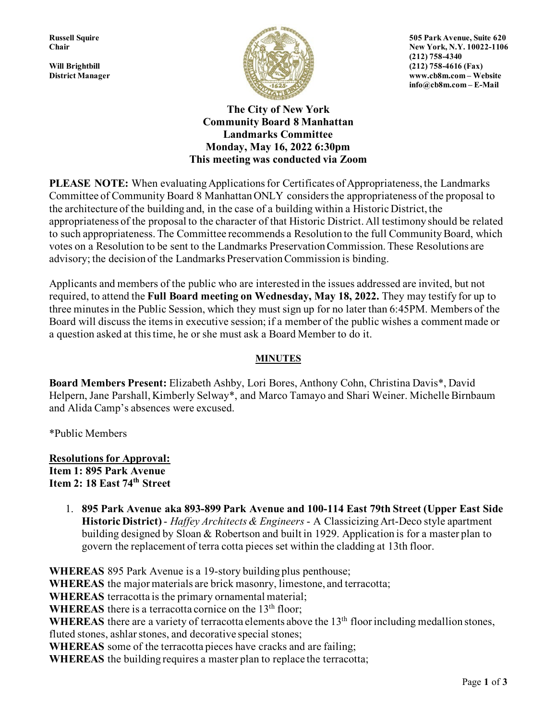

**Russell Squire 505 Park Avenue, Suite 620 Chair** New York, N.Y. 10022-1106 **District Manager www.cb8m.com – Website info@cb8m.com – E-Mail**

> **The City of New York Community Board 8 Manhattan Landmarks Committee Monday, May 16, 2022 6:30pm This meeting was conducted via Zoom**

**PLEASE NOTE:** When evaluating Applications for Certificates of Appropriateness, the Landmarks Committee of Community Board 8 Manhattan ONLY considers the appropriateness of the proposal to the architecture of the building and, in the case of a building within a Historic District, the appropriateness of the proposal to the character of that Historic District. All testimony should be related to such appropriateness. The Committee recommends a Resolution to the full Community Board, which votes on a Resolution to be sent to the Landmarks Preservation Commission. These Resolutions are advisory; the decision of the Landmarks Preservation Commission is binding.

Applicants and members of the public who are interested in the issues addressed are invited, but not required, to attend the **Full Board meeting on Wednesday, May 18, 2022.** They may testify for up to three minutes in the Public Session, which they must sign up for no later than 6:45PM. Members of the Board will discuss the items in executive session; if a member of the public wishes a comment made or a question asked at this time, he or she must ask a Board Member to do it.

## **MINUTES**

**Board Members Present:** Elizabeth Ashby, Lori Bores, Anthony Cohn, Christina Davis\*, David Helpern, Jane Parshall, Kimberly Selway\*, and Marco Tamayo and Shari Weiner. Michelle Birnbaum and Alida Camp's absences were excused.

\*Public Members

**Resolutions for Approval: Item 1: 895 Park Avenue Item 2: 18 East 74th Street**

> 1. **895 Park Avenue aka 893-899 Park Avenue and 100-114 East 79th Street (Upper East Side Historic District)** - *Haffey Architects & Engineers* - A Classicizing Art-Deco style apartment building designed by Sloan & Robertson and built in 1929. Application is for a master plan to govern the replacement of terra cotta pieces set within the cladding at 13th floor.

**WHEREAS** 895 Park Avenue is a 19-story building plus penthouse; **WHEREAS** the major materials are brick masonry, limestone, and terracotta; **WHEREAS** terracotta is the primary ornamental material; **WHEREAS** there is a terracotta cornice on the 13<sup>th</sup> floor; WHEREAS there are a variety of terracotta elements above the 13<sup>th</sup> floor including medallion stones, fluted stones, ashlar stones, and decorative special stones; **WHEREAS** some of the terracotta pieces have cracks and are failing; **WHEREAS** the building requires a master plan to replace the terracotta;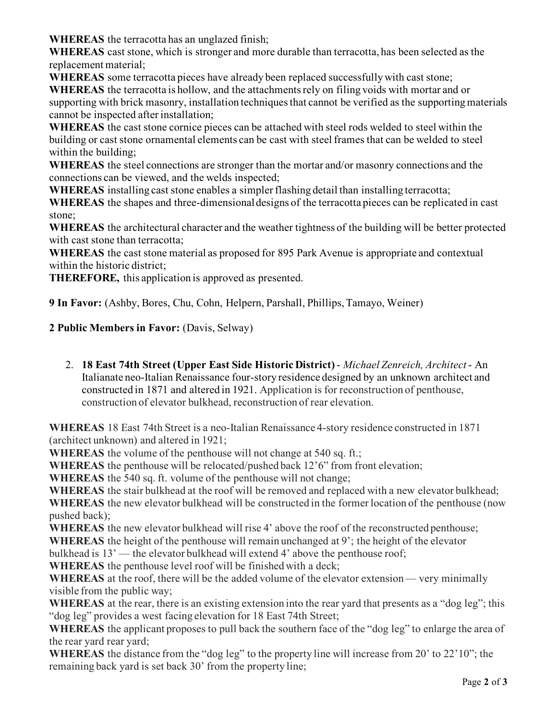**WHEREAS** the terracotta has an unglazed finish;

**WHEREAS** cast stone, which is stronger and more durable than terracotta, has been selected as the replacement material;

**WHEREAS** some terracotta pieces have already been replaced successfully with cast stone;

**WHEREAS** the terracotta is hollow, and the attachments rely on filing voids with mortar and or supporting with brick masonry, installation techniques that cannot be verified as the supporting materials cannot be inspected after installation;

**WHEREAS** the cast stone cornice pieces can be attached with steel rods welded to steel within the building or cast stone ornamental elements can be cast with steel frames that can be welded to steel within the building;

**WHEREAS** the steel connections are stronger than the mortar and/or masonry connections and the connections can be viewed, and the welds inspected;

**WHEREAS** installing cast stone enables a simpler flashing detail than installing terracotta;

**WHEREAS** the shapes and three-dimensional designs of the terracotta pieces can be replicated in cast stone;

**WHEREAS** the architectural character and the weather tightness of the building will be better protected with cast stone than terracotta;

**WHEREAS** the cast stone material as proposed for 895 Park Avenue is appropriate and contextual within the historic district;

**THEREFORE,** this application is approved as presented.

**9 In Favor:** (Ashby, Bores, Chu, Cohn, Helpern, Parshall, Phillips, Tamayo, Weiner)

**2 Public Members in Favor:** (Davis, Selway)

2. **18 East 74th Street (Upper East Side Historic District)** - *Michael Zenreich, Architect* - An Italianate neo-Italian Renaissance four-story residence designed by an unknown architect and constructed in 1871 and altered in 1921. Application is for reconstruction of penthouse, construction of elevator bulkhead, reconstruction of rear elevation.

**WHEREAS** 18 East 74th Street is a neo-Italian Renaissance 4-story residence constructed in 1871 (architect unknown) and altered in 1921;

**WHEREAS** the volume of the penthouse will not change at 540 sq. ft.;

**WHEREAS** the penthouse will be relocated/pushed back 12'6" from front elevation;

**WHEREAS** the 540 sq. ft. volume of the penthouse will not change;

**WHEREAS** the stair bulkhead at the roof will be removed and replaced with a new elevator bulkhead; **WHEREAS** the new elevator bulkhead will be constructed in the former location of the penthouse (now pushed back);

**WHEREAS** the new elevator bulkhead will rise 4' above the roof of the reconstructed penthouse;

**WHEREAS** the height of the penthouse will remain unchanged at 9'; the height of the elevator

bulkhead is 13' — the elevator bulkhead will extend 4' above the penthouse roof;

**WHEREAS** the penthouse level roof will be finished with a deck;

**WHEREAS** at the roof, there will be the added volume of the elevator extension — very minimally visible from the public way;

**WHEREAS** at the rear, there is an existing extension into the rear yard that presents as a "dog leg"; this "dog leg" provides a west facing elevation for 18 East 74th Street;

WHEREAS the applicant proposes to pull back the southern face of the "dog leg" to enlarge the area of the rear yard rear yard;

**WHEREAS** the distance from the "dog leg" to the property line will increase from 20' to 22'10"; the remaining back yard is set back 30' from the property line;